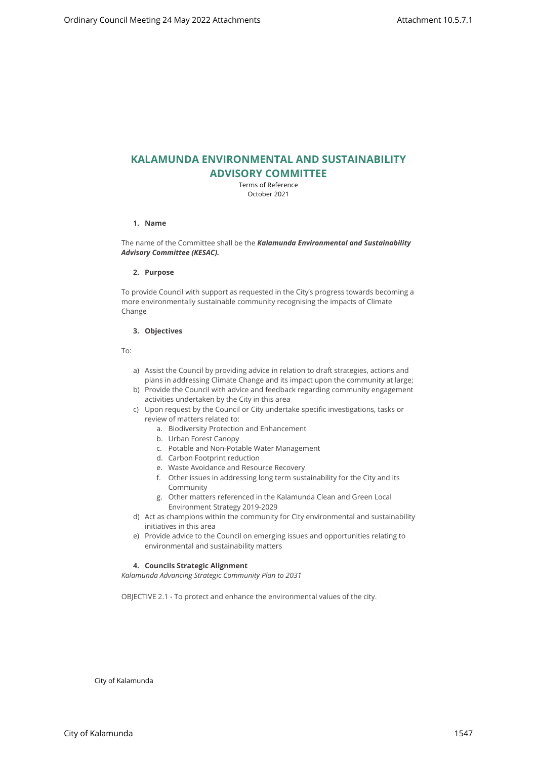# **KALAMUNDA ENVIRONMENTAL AND SUSTAINABILITY ADVISORY COMMITTEE**

Terms of Reference October 2021

# **1. Name**

The name of the Committee shall be the *Kalamunda Environmental and Sustainability Advisory Committee (KESAC).*

#### **2. Purpose**

To provide Council with support as requested in the City's progress towards becoming a more environmentally sustainable community recognising the impacts of Climate Change City of City of Meeting 24 May 2022 Attachments<br>
Compared Technology Council Meeting 24<br>
Compared Technology Council TTEE<br>
Meeting the City of Meeting 24<br>
Council Meeting 24<br>
Council Meeting 24<br>
Council Meeting Council an

# **3. Objectives**

To:

- a) Assist the Council by providing advice in relation to draft strategies, actions and plans in addressing Climate Change and its impact upon the community at large;
- b) Provide the Council with advice and feedback regarding community engagement activities undertaken by the City in this area
- c) Upon request by the Council or City undertake specific investigations, tasks or review of matters related to:
	- a. Biodiversity Protection and Enhancement
	- b. Urban Forest Canopy
	- c. Potable and Non-Potable Water Management
	- d. Carbon Footprint reduction
	- e. Waste Avoidance and Resource Recovery
	- f. Other issues in addressing long term sustainability for the City and its Community
	- g. Other matters referenced in the Kalamunda Clean and Green Local Environment Strategy 2019-2029
- d) Act as champions within the community for City environmental and sustainability initiatives in this area
- e) Provide advice to the Council on emerging issues and opportunities relating to environmental and sustainability matters

# **4. Councils Strategic Alignment**

*Kalamunda Advancing Strategic Community Plan to 2031* 

OBJECTIVE 2.1 - To protect and enhance the environmental values of the city.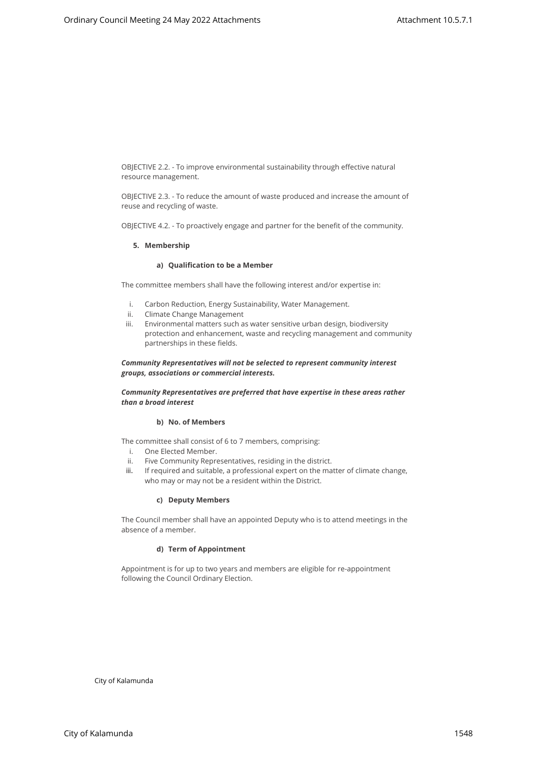OBJECTIVE 2.2. - To improve environmental sustainability through effective natural resource management.

OBJECTIVE 2.3. - To reduce the amount of waste produced and increase the amount of reuse and recycling of waste.

OBJECTIVE 4.2. - To proactively engage and partner for the benefit of the community.

#### **5. Membership**

#### **a) Qualification to be a Member**

The committee members shall have the following interest and/or expertise in:

- i. Carbon Reduction, Energy Sustainability, Water Management.
- ii. Climate Change Management
- iii. Environmental matters such as water sensitive urban design, biodiversity protection and enhancement, waste and recycling management and community partnerships in these fields. Confining y Cismal Meeting 24 May 2022 Attachments<br>
Conficting 24 May 2022 Attachments Attachment is published direct consistent and the council ordinary council methods of the consistent attachment of the council ordinary

# *Community Representatives will not be selected to represent community interest groups, associations or commercial interests.*

## *Community Representatives are preferred that have expertise in these areas rather than a broad interest*

#### **b) No. of Members**

The committee shall consist of 6 to 7 members, comprising:

- i. One Elected Member.
- ii. Five Community Representatives, residing in the district.
- iii. If required and suitable, a professional expert on the matter of climate change, who may or may not be a resident within the District.

#### **c) Deputy Members**

The Council member shall have an appointed Deputy who is to attend meetings in the absence of a member.

#### **d) Term of Appointment**

Appointment is for up to two years and members are eligible for re-appointment following the Council Ordinary Election.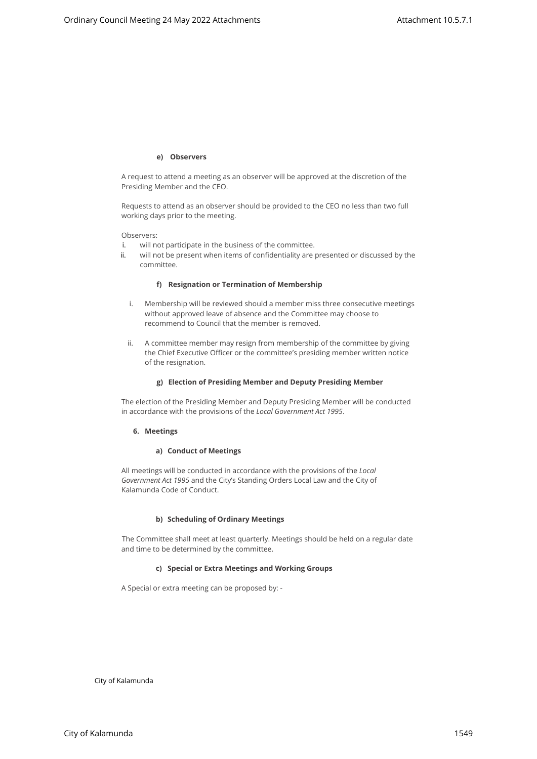#### **e) Observers**

A request to attend a meeting as an observer will be approved at the discretion of the Presiding Member and the CEO.

Requests to attend as an observer should be provided to the CEO no less than two full working days prior to the meeting.

Observers:

- i. will not participate in the business of the committee.
- ii. will not be present when items of confidentiality are presented or discussed by the committee.

#### **f) Resignation or Termination of Membership**

- i. Membership will be reviewed should a member miss three consecutive meetings without approved leave of absence and the Committee may choose to recommend to Council that the member is removed.
- ii. A committee member may resign from membership of the committee by giving the Chief Executive Officer or the committee's presiding member written notice of the resignation. City of City of May 2022 Attachments<br>
A record to start a street t<sub>o</sub> A *e* in disperse will be succided to the dispersion of the<br>
Frequencies to actual or a noise-series decision to the dispersion of the<br>
Frequencies Coun

#### **g) Election of Presiding Member and Deputy Presiding Member**

The election of the Presiding Member and Deputy Presiding Member will be conducted in accordance with the provisions of the *Local Government Act 1995*.

#### **6. Meetings**

## **a) Conduct of Meetings**

All meetings will be conducted in accordance with the provisions of the *Local Government Act 1995* and the City's Standing Orders Local Law and the City of Kalamunda Code of Conduct.

# **b) Scheduling of Ordinary Meetings**

The Committee shall meet at least quarterly. Meetings should be held on a regular date and time to be determined by the committee.

# **c) Special or Extra Meetings and Working Groups**

A Special or extra meeting can be proposed by: -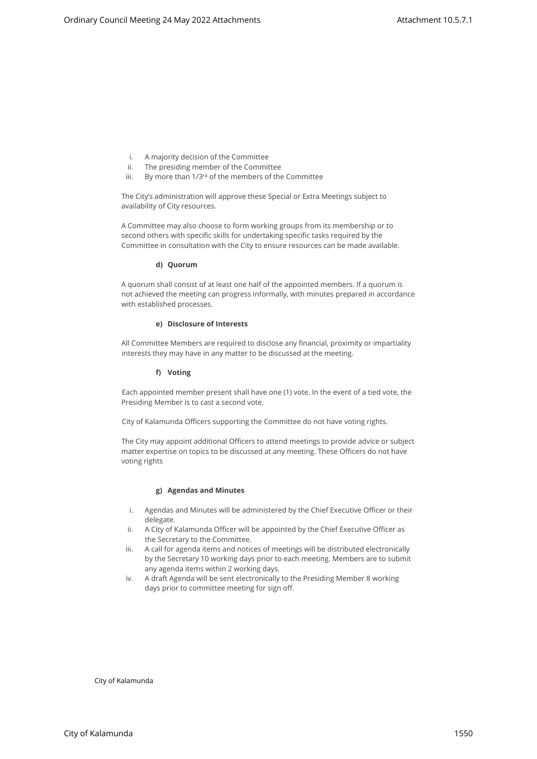- i. A majority decision of the Committee
- ii. The presiding member of the Committee
- iii. By more than 1/3<sup>rd</sup> of the members of the Committee

The City's administration will approve these Special or Extra Meetings subject to availability of City resources.

A Committee may also choose to form working groups from its membership or to second others with specific skills for undertaking specific tasks required by the Committee in consultation with the City to ensure resources can be made available.

#### **d) Quorum**

A quorum shall consist of at least one half of the appointed members. If a quorum is not achieved the meeting can progress informally, with minutes prepared in accordance with established processes. City of Kalamunda Ordinary 24 May 2022 Attachments<br>
1. A respective of the Council Meeting and Council Meeting and Council Meeting and Council Meeting and Council Meeting 2022 Attachments Attachments Attachments Attachmen

#### **e) Disclosure of Interests**

All Committee Members are required to disclose any financial, proximity or impartiality interests they may have in any matter to be discussed at the meeting.

#### **f) Voting**

Each appointed member present shall have one (1) vote. In the event of a tied vote, the Presiding Member is to cast a second vote.

City of Kalamunda Officers supporting the Committee do not have voting rights.

The City may appoint additional Officers to attend meetings to provide advice or subject matter expertise on topics to be discussed at any meeting. These Officers do not have voting rights

#### **g) Agendas and Minutes**

- i. Agendas and Minutes will be administered by the Chief Executive Officer or their delegate.
- ii. A City of Kalamunda Officer will be appointed by the Chief Executive Officer as the Secretary to the Committee.
- iii. A call for agenda items and notices of meetings will be distributed electronically by the Secretary 10 working days prior to each meeting. Members are to submit any agenda items within 2 working days.
- iv. A draft Agenda will be sent electronically to the Presiding Member 8 working days prior to committee meeting for sign off.